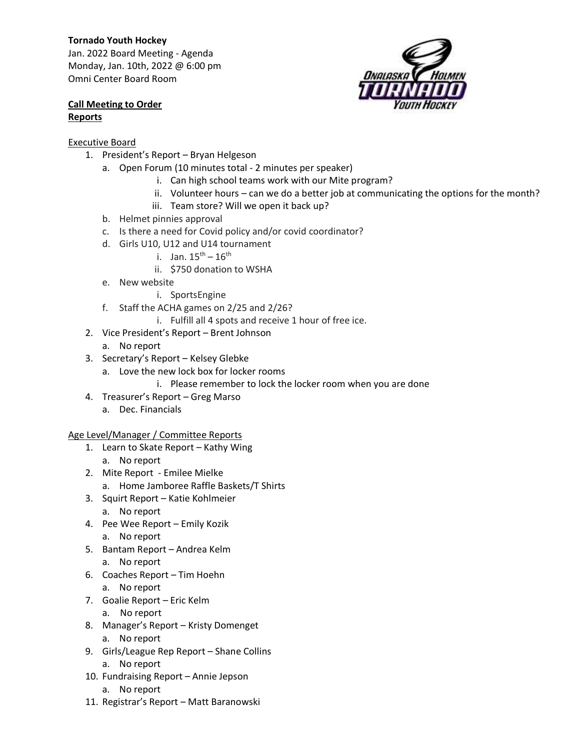## **Tornado Youth Hockey**

Jan. 2022 Board Meeting - Agenda Monday, Jan. 10th, 2022 @ 6:00 pm Omni Center Board Room



## **Call Meeting to Order Reports**

## Executive Board

- 1. President's Report Bryan Helgeson
	- a. Open Forum (10 minutes total 2 minutes per speaker)
		- i. Can high school teams work with our Mite program?
		- ii. Volunteer hours can we do a better job at communicating the options for the month?
		- iii. Team store? Will we open it back up?
	- b. Helmet pinnies approval
	- c. Is there a need for Covid policy and/or covid coordinator?
	- d. Girls U10, U12 and U14 tournament
		- i. Jan.  $15^{th} 16^{th}$
		- ii. \$750 donation to WSHA
	- e. New website
		- i. SportsEngine
	- f. Staff the ACHA games on 2/25 and 2/26?
		- i. Fulfill all 4 spots and receive 1 hour of free ice.
- 2. Vice President's Report Brent Johnson
	- a. No report
- 3. Secretary's Report Kelsey Glebke
	- a. Love the new lock box for locker rooms
		- i. Please remember to lock the locker room when you are done
- 4. Treasurer's Report Greg Marso
	- a. Dec. Financials

## Age Level/Manager / Committee Reports

- 1. Learn to Skate Report Kathy Wing
	- a. No report
- 2. Mite Report Emilee Mielke
	- a. Home Jamboree Raffle Baskets/T Shirts
- 3. Squirt Report Katie Kohlmeier
	- a. No report
- 4. Pee Wee Report Emily Kozik
	- a. No report
- 5. Bantam Report Andrea Kelm a. No report
- 6. Coaches Report Tim Hoehn
	- a. No report
- 7. Goalie Report Eric Kelm
	- a. No report
- 8. Manager's Report Kristy Domenget
	- a. No report
- 9. Girls/League Rep Report Shane Collins
	- a. No report
- 10. Fundraising Report Annie Jepson
	- a. No report
- 11. Registrar's Report Matt Baranowski